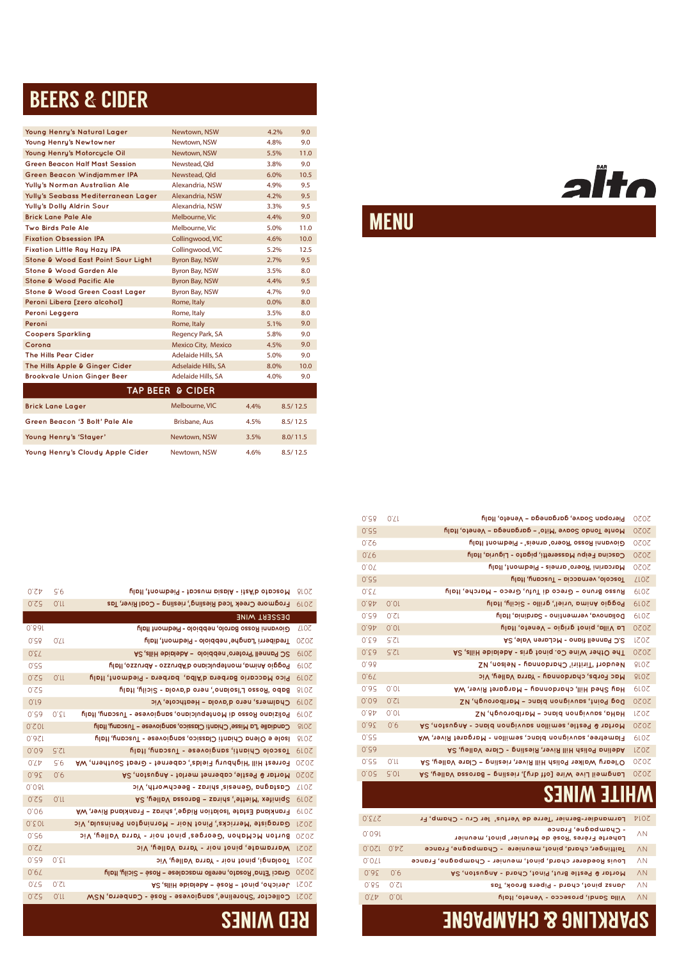## WHITE WINES

| 0.SP             | S 6          | Moscato d'Asti - Alasia muscat - Piedmont, Italy                   | 810S                        |
|------------------|--------------|--------------------------------------------------------------------|-----------------------------|
| 0.55             | 0'll         | Frogmore Creek 'Iced Riesling', riesling - Coal River, Tas         | <b>6107</b>                 |
|                  |              | <b>DESSERL MINE</b>                                                |                             |
| $0.8$ of         |              | Giovanni Rosso Barolo, nebbiolo - Piedmont Italy                   | <b>ZLOZ</b>                 |
| 0.78             | $0^{\prime}$ | Trediberri 'Langhe' nebbiolo - Piedmont, Italy                     | 2020                        |
| 0.57             |              | SC Pannell 'Protero' nebbiolo - Adelaide Hills, SA                 | <b>6107</b>                 |
| 0.55             |              | Poggio Anima, montepulciano d'Abruzzo - Abruzzo, Italy             | 610 <sub>z</sub>            |
| 0.55             | 0'll         | Pico Maccario Barbera d'Alba, barbera - Piedmont, Italy            | <b>6107</b>                 |
| 0.55             |              | Babo 'Rosso L'Isolano', nero d'avola - Sicily, Italy               | <b>810S</b>                 |
| 0.1 <sub>0</sub> |              | Chalmers, nero d'avola - Heathcote, Vic                            | <b>6107</b>                 |
| 0.59             | 0.51         | Poliziano Rosso di Montepulciano, sangiovese - Tuscany, Italy      | <b>6107</b>                 |
| 10.20            |              | Candialle 'La Misse' Chianti Classico, sangiovese - Tuscany, Italy | 810 <sub>S</sub>            |
| 0.851            |              | lsole e Olena Chianti Classico, sangiovese - Tuscany, Italy        | <b>810S</b>                 |
| 0.08             | G:ZL         | Toscolo Chianti, sangiovese - Tuscany, Italy                       | <b>6107</b>                 |
| $0^{\prime}L$    | G'6          | Forrest Hill 'Highbury Fields', cabernet - Great Southern, WA      | 2020                        |
| 0.85             | 0.6          | <b>A2 (notaupnA - tolnem thanging - Anguston, SA</b>               | 2020                        |
| 0.081            |              | SiV, (dthowdpeed - sprids 'sizeneD' bapptab2                       | <b>LLOZ</b>                 |
| 0.55             | 0'll         | Spinitex 'Miette', shiraz - Barossa Valley, SA                     | <b>6107</b>                 |
| 0.06             |              | Frankland Estate 'Isolation Ridge', shiraz - Frankland River, WA   | <b>6107</b>                 |
| $0.5$ Or         |              | Garagiste 'Merricks', Pinot Nori - Mornington Peninsula, Vic       | 2021                        |
| 0.56             |              | Burton McMahon 'Georges' pinot noir - Yarra Valley, Vic            | 2020                        |
| 0.57             |              | Warramate, pinot noir - Yarra Valley, Vic                          | <b>IZOZ</b>                 |
| 0.59             | 0.51         | Joolangi, pinot noir - Yarra Valley, Vic                           | 2021                        |
| 0.67             |              | Graci 'Etna' Rosato, nerello mascalese – Rosé – Sicily, Italy      | 2020                        |
| 0.75             | 0.51         | Acticho, pinot - Resé - Adelaide Hills, SA                         | 2021                        |
| 0.55             | 0'll         | Collector 'Shoreline', sangiovese - Rosé - Canberra, NSW           | 2021                        |
|                  |              | <b>ARII 11</b>                                                     | $\sim$ $\sim$ $\sim$ $\sim$ |

| 0.35 | 06   | A2 , notaupnA - paplicup seuvignon blanc - Anguston, SA            | 2020   |
|------|------|--------------------------------------------------------------------|--------|
| 0.75 |      | Flametree, sauvignon blanc, semillon - Margaret River, WA          | 610Z   |
| 0.56 |      | Adelina Polish Hill River, Riesling - Clare Valley, SA             | LZ O Z |
| 0.66 | O.H  | 2020 O'leary Walker Polish Hill River, riesling - Clare Valley, SA |        |
| 0.0c | G.OL | 2020 Langmeil Live Wire [off dry], riesling - Barossa Valley, SA   |        |
|      |      | AULII LA ULIILLA                                                   |        |

| 0.55   |      | Monte Tondo Soave 'Mito' - garganega - Veneto, Italy       | 2020        |
|--------|------|------------------------------------------------------------|-------------|
| 0.SP   |      | Giovanni Rosso 'Roero' arneis' - Piedmont Italy            | 2020        |
| 0.76   |      | Cascina Feipu Masseretti, pigato - Liguria, Italy          | 2020        |
| 0.07   |      | Marcarini 'Roero' arneis - Piedmont, Italy                 | 2020        |
| 0.55   |      | Toscolo, vernaccia - Tuscany, Italy                        | <b>ZLOZ</b> |
| 0. E T |      | Russo Bruno - Greco di Tufu, Greco - Marche, Italy         | <b>6107</b> |
| 0.84   | 0.01 | Poggio Anima 'uriel', grillo - Sicily, Italy               | <b>6107</b> |
| 0.26   | 0.SI | Dolianova, vermentino - Sardinia, Italy                    | <b>6107</b> |
| 0.94   | 0.01 | La Villa, pinot grigio - Veneto, Italy                     | 2020        |
| 0.Σ∂   | S.SI | S.C Pannell fiano - McLaren Vale, SA                       | 2021        |
| 0.5a   | GZL  | The Other Wine Co. pinot gris - Adelaide Hills, SA         | 2020        |
| 0.∂8   |      | Neudorf Tiritiri' Chardonnay - Nelson, NZ                  | <b>810S</b> |
| 0.6T   |      | Mac Forbs, chardonnay - Yarra Valley, Vic                  | 2018        |
| 0.95   | 0.01 | Hay Shed Hill, chardonnay - Margaret River, WA             | <b>6107</b> |
| 0.08   | 0.51 | Dog Point, sauvignon blanc - Marlborough, NZ               | 2020        |
| 0.84   | 0.01 | HaHa, sauvignon blanc - Marlborough, NZ                    | 2021        |
| 0.92   | 0.6  | A2 , notaupnA - papid nonpivups nollimes , eltse9 & 1pt1oM | 2020        |

85.0 17.0 **Veneto, Italy – Pieropan Soave, garganega** 2020

| 0.575 |       | Larmandier-Bernier 'Terre de Vertus' 1er Cru - Champ, Fr              | <b>PIOZ</b>           |
|-------|-------|-----------------------------------------------------------------------|-----------------------|
| 0.001 |       | - Champagne, France<br>Laherte Frêres Rosé de Meunier' pinot, meunier | $\wedge$ <sub>N</sub> |
| 0.0SL | 0°0'Z | Taittinger, chard, pinot, meuniere - Champagne, France                | $\wedge$ N            |
| 0.011 |       | Louis Roederer chard, pinot, meunier - Champagne, France              | $\wedge$ N            |
| 0.85  | 0.6   | A2 (notaupnA - bibd.) tonig tuid slised & iptioM                      | $\wedge$ N            |
| 0.8c  | 0.SI  | Jansz pinot, chard - Pipers Brook, Tas                                | ΛN                    |
| 0.14  | 0.01  | Villa Sandi, prosecco - Veneto, Italy                                 | $\wedge$ N            |
|       |       | <b>THAU IIIIIIIIA YA ALIITIIIIIIIIA</b>                               |                       |

## MENU



### RED WINES CHAMPAGNE SPARKLING & CHAMPAGNE

# BEERS & CIDER

| Young Henry's Natural Lager           | Newtown, NSW               |      | 4.2% | 9.0      |  |  |  |  |
|---------------------------------------|----------------------------|------|------|----------|--|--|--|--|
| Young Henry's Newtowner               | Newtown, NSW               |      | 4.8% | 9.0      |  |  |  |  |
| Young Henry's Motorcycle Oil          | Newtown, NSW               |      | 5.5% | 11.0     |  |  |  |  |
| <b>Green Beacon Half Mast Session</b> | Newstead, Qld              |      | 3.8% | 9.0      |  |  |  |  |
| Green Beacon Windjammer IPA           | Newstead, Qld              |      | 6.0% | 10.5     |  |  |  |  |
| Yully's Norman Australian Ale         | Alexandria, NSW            |      | 4.9% | 9.5      |  |  |  |  |
| Yully's Seabass Mediterranean Lager   | Alexandria, NSW            |      | 4.2% | 9.5      |  |  |  |  |
| Yully's Dolly Aldrin Sour             | Alexandria, NSW            |      | 3.3% | 9.5      |  |  |  |  |
| <b>Brick Lane Pale Ale</b>            | Melbourne, Vic             |      | 4.4% | 9.0      |  |  |  |  |
| <b>Two Birds Pale Ale</b>             | Melbourne, Vic             |      | 5.0% | 11.0     |  |  |  |  |
| <b>Fixation Obsession IPA</b>         | Collingwood, VIC           |      | 4.6% | 10.0     |  |  |  |  |
| <b>Fixation Little Ray Hazy IPA</b>   | Collingwood, VIC           |      | 5.2% | 12.5     |  |  |  |  |
| Stone & Wood East Point Sour Light    | Byron Bay, NSW             |      | 2.7% | 9.5      |  |  |  |  |
| Stone & Wood Garden Ale               | Byron Bay, NSW             |      | 3.5% | 8.0      |  |  |  |  |
| Stone & Wood Pacific Ale              | Byron Bay, NSW             |      | 4.4% | 9.5      |  |  |  |  |
| Stone & Wood Green Coast Lager        | <b>Byron Bay, NSW</b>      |      | 4.7% | 9.0      |  |  |  |  |
| Peroni Libera [zero alcohol]          | Rome, Italy                |      | 0.0% | 8.0      |  |  |  |  |
| Peroni Leggera                        | Rome, Italy                |      | 3.5% | 8.0      |  |  |  |  |
| Peroni                                | Rome, Italy                |      | 5.1% | 9.0      |  |  |  |  |
| <b>Coopers Sparkling</b>              | Regency Park, SA           |      | 5.8% | 9.0      |  |  |  |  |
| Corona                                | <b>Mexico City, Mexico</b> |      | 4.5% | 9.0      |  |  |  |  |
| <b>The Hills Pear Cider</b>           | Adelaide Hills, SA         |      | 5.0% | 9.0      |  |  |  |  |
| The Hills Apple & Ginger Cider        | Adselaide Hills, SA        |      | 8.0% | 10.0     |  |  |  |  |
| <b>Brookvale Union Ginger Beer</b>    | Adelaide Hills, SA         |      | 4.0% | 9.0      |  |  |  |  |
| <b>TAP BEER &amp; CIDER</b>           |                            |      |      |          |  |  |  |  |
| <b>Brick Lane Lager</b>               | Melbourne, VIC             | 4.4% |      | 8.5/12.5 |  |  |  |  |
| Green Beacon '3 Bolt' Pale Ale        | <b>Brisbane, Aus</b>       | 4.5% |      | 8.5/12.5 |  |  |  |  |
| Young Henry's 'Stayer'                | Newtown, NSW               | 3.5% |      | 8.0/11.5 |  |  |  |  |
| Young Henry's Cloudy Apple Cider      | Newtown, NSW               | 4.6% |      | 8.5/12.5 |  |  |  |  |